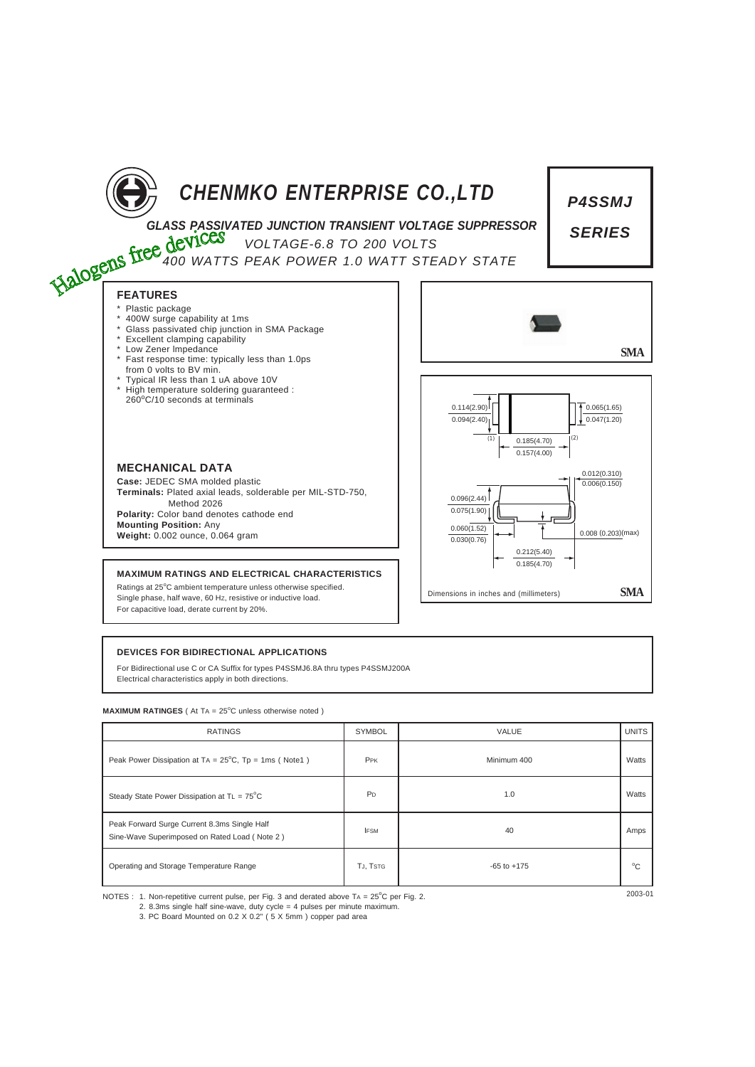

**FEATURES** Plastic package

# *CHENMKO ENTERPRISE CO.,LTD*

*P4SSMJ*

*SERIES*

0.008 (0.203)(max)

*GLASS PASSIVATED JUNCTION TRANSIENT VOLTAGE SUPPRESSOR*

*VOLTAGE-6.8 TO 200 VOLTS*

*400 WATTS PEAK POWER 1.0 WATT STEADY STATE*



 $0.096(2.44)$ 0.075(1.90)  $0.060(1.52)$  $0.030(0.76)$ 

Dimensions in inches and (millimeters) **SMA**

0.212(5.40) 0.185(4.70)

**Case:** JEDEC SMA molded plastic **MECHANICAL DATA**

400W surge capability at 1ms

\* Excellent clamping capability **Low Zener Impedance** 

from 0 volts to BV min.

\* Glass passivated chip junction in SMA Package

\* Fast response time: typically less than 1.0ps

Typical IR less than 1 uA above 10V \* High temperature soldering guaranteed : 260<sup>o</sup> C/10 seconds at terminals

**Terminals:** Plated axial leads, solderable per MIL-STD-750, Method 2026 **Polarity:** Color band denotes cathode end

**Mounting Position:** Any **Weight:** 0.002 ounce, 0.064 gram

### **MAXIMUM RATINGS AND ELECTRICAL CHARACTERISTICS**

Ratings at 25°C ambient temperature unless otherwise specified. Single phase, half wave, 60 Hz, resistive or inductive load. For capacitive load, derate current by 20%.

## **DEVICES FOR BIDIRECTIONAL APPLICATIONS**

For Bidirectional use C or CA Suffix for types P4SSMJ6.8A thru types P4SSMJ200A Electrical characteristics apply in both directions.

#### **MAXIMUM RATINGES** ( At TA = 25°C unless otherwise noted )

| <b>RATINGS</b>                                                                                | <b>SYMBOL</b>  | VALUE           | <b>UNITS</b> |
|-----------------------------------------------------------------------------------------------|----------------|-----------------|--------------|
| Peak Power Dissipation at TA = $25^{\circ}$ C, Tp = 1ms (Note1)                               | PPK            | Minimum 400     | Watts        |
| Steady State Power Dissipation at $TL = 75^{\circ}C$                                          | P <sub>D</sub> | 1.0             | Watts        |
| Peak Forward Surge Current 8.3ms Single Half<br>Sine-Wave Superimposed on Rated Load (Note 2) | <b>IFSM</b>    | 40              | Amps         |
| Operating and Storage Temperature Range                                                       | TJ, TSTG       | $-65$ to $+175$ | $^{\circ}$ C |

NOTES : 1. Non-repetitive current pulse, per Fig. 3 and derated above TA = 25°C per Fig. 2.

2. 8.3ms single half sine-wave, duty cycle = 4 pulses per minute maximum.

3. PC Board Mounted on 0.2 X 0.2" ( 5 X 5mm ) copper pad area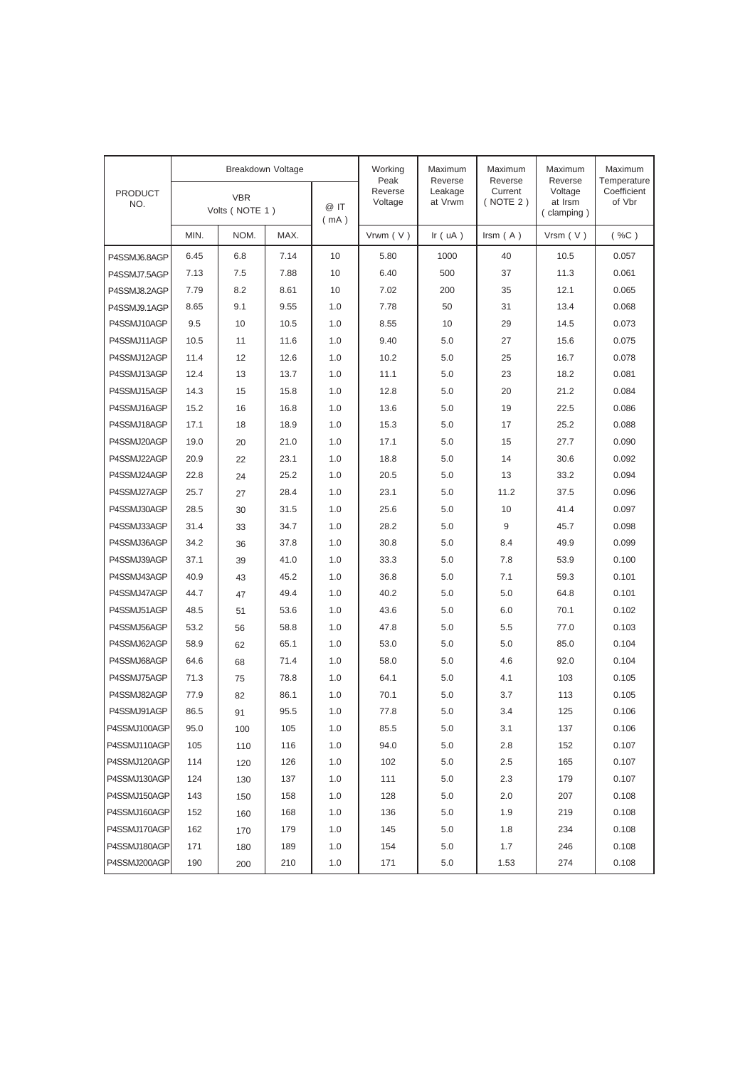|                       | Breakdown Voltage            |      |              | Working<br>Peak    | Maximum<br>Reverse | Maximum<br>Reverse  | Maximum<br>Reverse               | Maximum<br>Temperature |          |
|-----------------------|------------------------------|------|--------------|--------------------|--------------------|---------------------|----------------------------------|------------------------|----------|
| <b>PRODUCT</b><br>NO. | <b>VBR</b><br>Volts (NOTE 1) |      | @ IT<br>(mA) | Reverse<br>Voltage | Leakage<br>at Vrwm | Current<br>(NOTE 2) | Voltage<br>at Irsm<br>(clamping) | Coefficient<br>of Vbr  |          |
|                       | MIN.                         | NOM. | MAX.         |                    | Vrwm $(V)$         | Ir $( uA )$         | Irsm $(A)$                       | $V$ rsm $(V)$          | $(*\%C)$ |
| P4SSMJ6.8AGP          | 6.45                         | 6.8  | 7.14         | 10                 | 5.80               | 1000                | 40                               | 10.5                   | 0.057    |
| P4SSMJ7.5AGP          | 7.13                         | 7.5  | 7.88         | 10                 | 6.40               | 500                 | 37                               | 11.3                   | 0.061    |
| P4SSMJ8.2AGP          | 7.79                         | 8.2  | 8.61         | 10                 | 7.02               | 200                 | 35                               | 12.1                   | 0.065    |
| P4SSMJ9.1AGP          | 8.65                         | 9.1  | 9.55         | 1.0                | 7.78               | 50                  | 31                               | 13.4                   | 0.068    |
| P4SSMJ10AGP           | 9.5                          | 10   | 10.5         | 1.0                | 8.55               | 10                  | 29                               | 14.5                   | 0.073    |
| P4SSMJ11AGP           | 10.5                         | 11   | 11.6         | 1.0                | 9.40               | 5.0                 | 27                               | 15.6                   | 0.075    |
| P4SSMJ12AGP           | 11.4                         | 12   | 12.6         | 1.0                | 10.2               | 5.0                 | 25                               | 16.7                   | 0.078    |
| P4SSMJ13AGP           | 12.4                         | 13   | 13.7         | 1.0                | 11.1               | 5.0                 | 23                               | 18.2                   | 0.081    |
| P4SSMJ15AGP           | 14.3                         | 15   | 15.8         | 1.0                | 12.8               | 5.0                 | 20                               | 21.2                   | 0.084    |
| P4SSMJ16AGP           | 15.2                         | 16   | 16.8         | 1.0                | 13.6               | 5.0                 | 19                               | 22.5                   | 0.086    |
| P4SSMJ18AGP           | 17.1                         | 18   | 18.9         | 1.0                | 15.3               | 5.0                 | 17                               | 25.2                   | 0.088    |
| P4SSMJ20AGP           | 19.0                         | 20   | 21.0         | 1.0                | 17.1               | 5.0                 | 15                               | 27.7                   | 0.090    |
| P4SSMJ22AGP           | 20.9                         | 22   | 23.1         | 1.0                | 18.8               | 5.0                 | 14                               | 30.6                   | 0.092    |
| P4SSMJ24AGP           | 22.8                         | 24   | 25.2         | 1.0                | 20.5               | 5.0                 | 13                               | 33.2                   | 0.094    |
| P4SSMJ27AGP           | 25.7                         | 27   | 28.4         | 1.0                | 23.1               | 5.0                 | 11.2                             | 37.5                   | 0.096    |
| P4SSMJ30AGP           | 28.5                         | 30   | 31.5         | 1.0                | 25.6               | 5.0                 | 10                               | 41.4                   | 0.097    |
| P4SSMJ33AGP           | 31.4                         | 33   | 34.7         | 1.0                | 28.2               | 5.0                 | 9                                | 45.7                   | 0.098    |
| P4SSMJ36AGP           | 34.2                         | 36   | 37.8         | 1.0                | 30.8               | 5.0                 | 8.4                              | 49.9                   | 0.099    |
| P4SSMJ39AGP           | 37.1                         | 39   | 41.0         | 1.0                | 33.3               | 5.0                 | 7.8                              | 53.9                   | 0.100    |
| P4SSMJ43AGP           | 40.9                         | 43   | 45.2         | 1.0                | 36.8               | 5.0                 | 7.1                              | 59.3                   | 0.101    |
| P4SSMJ47AGP           | 44.7                         | 47   | 49.4         | 1.0                | 40.2               | 5.0                 | 5.0                              | 64.8                   | 0.101    |
| P4SSMJ51AGP           | 48.5                         | 51   | 53.6         | 1.0                | 43.6               | 5.0                 | 6.0                              | 70.1                   | 0.102    |
| P4SSMJ56AGP           | 53.2                         | 56   | 58.8         | 1.0                | 47.8               | 5.0                 | 5.5                              | 77.0                   | 0.103    |
| P4SSMJ62AGP           | 58.9                         | 62   | 65.1         | 1.0                | 53.0               | 5.0                 | 5.0                              | 85.0                   | 0.104    |
| P4SSMJ68AGP           | 64.6                         | 68   | 71.4         | 1.0                | 58.0               | 5.0                 | 4.6                              | 92.0                   | 0.104    |
| P4SSMJ75AGP           | 71.3                         | 75   | 78.8         | 1.0                | 64.1               | 5.0                 | 4.1                              | 103                    | 0.105    |
| P4SSMJ82AGP           | 77.9                         | 82   | 86.1         | 1.0                | 70.1               | 5.0                 | 3.7                              | 113                    | 0.105    |
| P4SSMJ91AGP           | 86.5                         | 91   | 95.5         | 1.0                | 77.8               | 5.0                 | 3.4                              | 125                    | 0.106    |
| P4SSMJ100AGP          | 95.0                         | 100  | 105          | 1.0                | 85.5               | 5.0                 | 3.1                              | 137                    | 0.106    |
| P4SSMJ110AGP          | 105                          | 110  | 116          | 1.0                | 94.0               | 5.0                 | 2.8                              | 152                    | 0.107    |
| P4SSMJ120AGP          | 114                          | 120  | 126          | 1.0                | 102                | 5.0                 | 2.5                              | 165                    | 0.107    |
| P4SSMJ130AGP          | 124                          | 130  | 137          | 1.0                | 111                | 5.0                 | 2.3                              | 179                    | 0.107    |
| P4SSMJ150AGP          | 143                          | 150  | 158          | 1.0                | 128                | 5.0                 | 2.0                              | 207                    | 0.108    |
| P4SSMJ160AGP          | 152                          | 160  | 168          | 1.0                | 136                | 5.0                 | 1.9                              | 219                    | 0.108    |
| P4SSMJ170AGP          | 162                          | 170  | 179          | 1.0                | 145                | 5.0                 | 1.8                              | 234                    | 0.108    |
| P4SSMJ180AGP          | 171                          | 180  | 189          | 1.0                | 154                | 5.0                 | 1.7                              | 246                    | 0.108    |
| P4SSMJ200AGP          | 190                          | 200  | 210          | 1.0                | 171                | 5.0                 | 1.53                             | 274                    | 0.108    |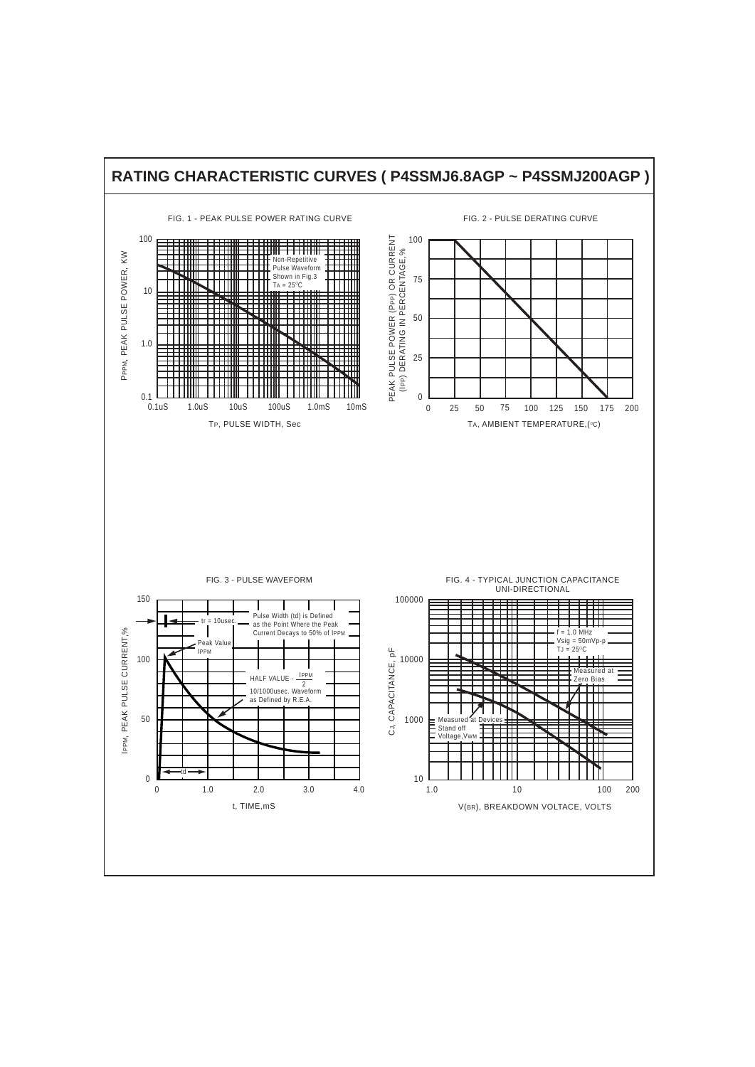